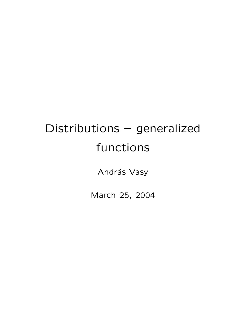## Distributions – generalized functions

András Vasy

March 25, 2004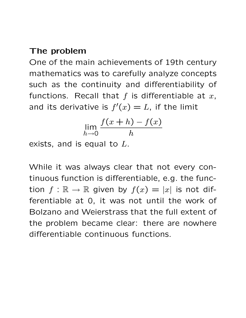## The problem

One of the main achievements of 19th century mathematics was to carefully analyze concepts such as the continuity and differentiability of functions. Recall that  $f$  is differentiable at  $x$ , and its derivative is  $f'(x) = L$ , if the limit

$$
\lim_{h \to 0} \frac{f(x+h) - f(x)}{h}
$$

exists, and is equal to  $L$ .

While it was always clear that not every continuous function is differentiable, e.g. the function  $f : \mathbb{R} \to \mathbb{R}$  given by  $f(x) = |x|$  is not differentiable at 0, it was not until the work of Bolzano and Weierstrass that the full extent of the problem became clear: there are nowhere differentiable continuous functions.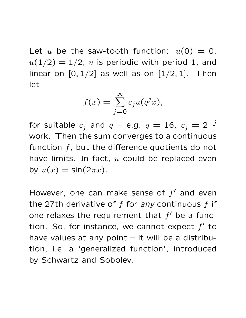Let u be the saw-tooth function:  $u(0) = 0$ ,  $u(1/2) = 1/2$ , u is periodic with period 1, and linear on  $[0, 1/2]$  as well as on  $[1/2, 1]$ . Then let

$$
f(x) = \sum_{j=0}^{\infty} c_j u(q^j x),
$$

for suitable  $c_j$  and  $q$  – e.g.  $q=16, \; c_j=2^{-j}$ work. Then the sum converges to a continuous function  $f$ , but the difference quotients do not have limits. In fact,  $u$  could be replaced even by  $u(x) = \sin(2\pi x)$ .

However, one can make sense of  $f'$  and even the 27th derivative of  $f$  for any continuous  $f$  if one relaxes the requirement that  $f'$  be a function. So, for instance, we cannot expect  $f'$  to have values at any point  $-$  it will be a distribution, i.e. a 'generalized function', introduced by Schwartz and Sobolev.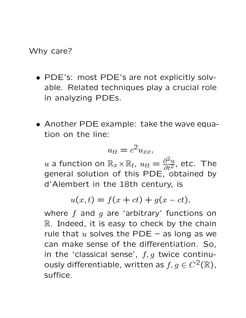Why care?

- PDE's: most PDE's are not explicitly solvable. Related techniques play a crucial role in analyzing PDEs.
- Another PDE example: take the wave equation on the line:

$$
u_{tt} = c^2 u_{xx},
$$

 $u$  a function on  $\mathbb{R}_x\!\times\!\mathbb{R}_t$ ,  $u_{tt}=\frac{\partial^2 u}{\partial t^2}$  $\frac{\partial^2 u}{\partial t^2}$ , etc. The general solution of this PDE, obtained by d'Alembert in the 18th century, is

$$
u(x,t) = f(x+ct) + g(x-ct),
$$

where  $f$  and  $g$  are 'arbitrary' functions on  $\mathbb R$ . Indeed, it is easy to check by the chain rule that  $u$  solves the PDE – as long as we can make sense of the differentiation. So, in the 'classical sense',  $f, g$  twice continuously differentiable, written as  $f, g \in C^2(\mathbb{R})$ , suffice.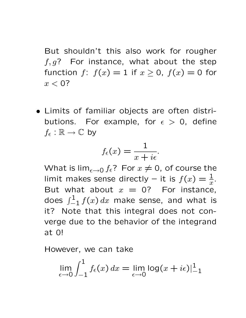But shouldn't this also work for rougher  $f, g$ ? For instance, what about the step function  $f: f(x) = 1$  if  $x \ge 0$ ,  $f(x) = 0$  for  $x < 0$ ?

• Limits of familiar objects are often distributions. For example, for  $\epsilon > 0$ , define  $f_{\epsilon} : \mathbb{R} \to \mathbb{C}$  by

$$
f_{\epsilon}(x) = \frac{1}{x + i\epsilon}.
$$

What is  $\lim_{\epsilon \to 0} f_{\epsilon}$ ? For  $x \neq 0$ , of course the limit makes sense directly – it is  $f(x) = \frac{1}{x}$ . But what about  $x = 0$ ? For instance, does  $\int_{-1}^{1} f(x) \, dx$  make sense, and what is it? Note that this integral does not converge due to the behavior of the integrand at 0!

However, we can take

$$
\lim_{\epsilon \to 0} \int_{-1}^{1} f_{\epsilon}(x) dx = \lim_{\epsilon \to 0} \log(x + i\epsilon) \Big|_{-1}^{1}
$$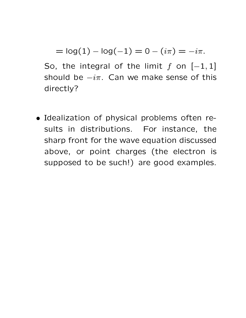$$
= \log(1) - \log(-1) = 0 - (i\pi) = -i\pi.
$$

So, the integral of the limit f on  $[-1,1]$ should be  $-i\pi$ . Can we make sense of this directly?

• Idealization of physical problems often results in distributions. For instance, the sharp front for the wave equation discussed above, or point charges (the electron is supposed to be such!) are good examples.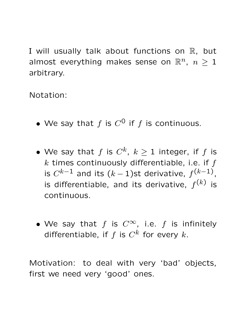I will usually talk about functions on  $\mathbb R$ , but almost everything makes sense on  $\mathbb{R}^n$ ,  $n \geq 1$ arbitrary.

Notation:

- We say that f is  $C^0$  if f is continuous.
- $\bullet$  We say that  $f$  is  $C^k$ ,  $k\geq 1$  integer, if  $f$  is  $k$  times continuously differentiable, i.e. if  $f$ is  $C^{k-1}$  and its  $(k-1)$ st derivative,  $f^{(k-1)}$ , is differentiable, and its derivative,  $f^{(k)}$  is continuous.
- We say that f is  $C^{\infty}$ , i.e. f is infinitely differentiable, if  $f$  is  $C^k$  for every  $k$ .

Motivation: to deal with very 'bad' objects, first we need very 'good' ones.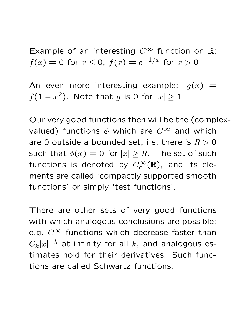Example of an interesting  $C^{\infty}$  function on R:  $f(x)=0$  for  $x\leq 0$ ,  $f(x)=e^{-1/x}$  for  $x>0$ .

An even more interesting example:  $g(x) =$  $f(1-x^2)$ . Note that g is 0 for  $|x|\geq 1$ .

Our very good functions then will be the (complexvalued) functions  $\phi$  which are  $C^{\infty}$  and which are 0 outside a bounded set, i.e. there is  $R > 0$ such that  $\phi(x) = 0$  for  $|x| \ge R$ . The set of such functions is denoted by  $C_c^\infty(\mathbb{R})$ , and its elements are called 'compactly supported smooth functions' or simply 'test functions'.

There are other sets of very good functions with which analogous conclusions are possible: e.g.  $C^{\infty}$  functions which decrease faster than  $C_k|x|^{-k}$  at infinity for all  $k$ , and analogous estimates hold for their derivatives. Such functions are called Schwartz functions.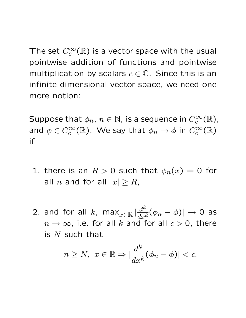The set  $C_c^{\infty}(\mathbb{R})$  is a vector space with the usual pointwise addition of functions and pointwise multiplication by scalars  $c \in \mathbb{C}$ . Since this is an infinite dimensional vector space, we need one more notion:

Suppose that  $\phi_n, \, n \in \mathbb{N}$ , is a sequence in  $C_c^\infty(\mathbb{R})$ , and  $\phi \in C_c^\infty(\mathbb{R})$ . We say that  $\phi_n \to \phi$  in  $C_c^\infty(\mathbb{R})$ if

- 1. there is an  $R > 0$  such that  $\phi_n(x) = 0$  for all n and for all  $|x| \geq R$ ,
- 2. and for all  $k$ , max $_{x\in\mathbb{R}}\,|\frac{d^k}{dx^k}$  $\frac{d^{\alpha}}{dx^k}(\phi_n-\phi)|\to 0$  as  $n \to \infty$ , i.e. for all k and for all  $\epsilon > 0$ , there is  $N$  such that

$$
n \ge N, \ x \in \mathbb{R} \Rightarrow |\frac{d^k}{dx^k}(\phi_n - \phi)| < \epsilon.
$$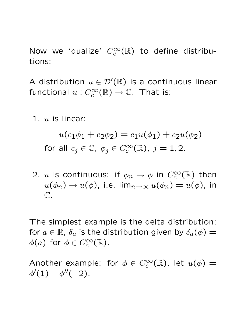Now we 'dualize'  $C_c^{\infty}(\mathbb{R})$  to define distributions:

A distribution  $u \in \mathcal{D}'(\mathbb{R})$  is a continuous linear functional  $u: C_c^\infty(\mathbb{R}) \to \mathbb{C}$ . That is:

1.  $u$  is linear:

$$
u(c_1\phi_1 + c_2\phi_2) = c_1u(\phi_1) + c_2u(\phi_2)
$$
  
for all  $c_j \in \mathbb{C}$ ,  $\phi_j \in C_c^{\infty}(\mathbb{R})$ ,  $j = 1, 2$ .

2.  $u$  is continuous: if  $\phi_n \to \phi$  in  $C_c^\infty(\mathbb{R})$  then  $u(\phi_n) \to u(\phi)$ , i.e.  $\lim_{n \to \infty} u(\phi_n) = u(\phi)$ , in C.

The simplest example is the delta distribution: for  $a \in \mathbb{R}$ ,  $\delta_a$  is the distribution given by  $\delta_a(\phi) =$  $\phi(a)$  for  $\phi \in C_c^{\infty}(\mathbb{R})$ .

Another example: for  $\phi \in C_c^{\infty}(\mathbb{R})$ , let  $u(\phi) =$  $\phi'(1) - \phi''(-2)$ .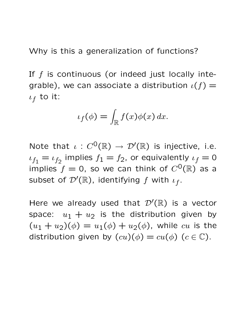Why is this a generalization of functions?

If  $f$  is continuous (or indeed just locally integrable), we can associate a distribution  $\iota(f)$  =  $\iota_f$  to it:

$$
\iota_f(\phi) = \int_{\mathbb{R}} f(x)\phi(x) \, dx.
$$

Note that  $\iota : C^0(\mathbb{R}) \to \mathcal{D}'(\mathbb{R})$  is injective, i.e.  $\iota_{f_1} = \iota_{f_2}$  implies  $f_1 = f_2$ , or equivalently  $\iota_f = 0$ implies  $f = 0$ , so we can think of  $C^{0}(\mathbb{R})$  as a subset of  $\mathcal{D}'(\mathbb{R})$ , identifying  $f$  with  $\iota_f.$ 

Here we already used that  $\mathcal{D}'(\mathbb{R})$  is a vector space:  $u_1 + u_2$  is the distribution given by  $(u_1 + u_2)(\phi) = u_1(\phi) + u_2(\phi)$ , while cu is the distribution given by  $(cu)(\phi) = cu(\phi)$   $(c \in \mathbb{C})$ .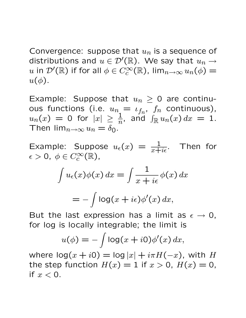Convergence: suppose that  $u_n$  is a sequence of distributions and  $u \in \mathcal{D}'(\mathbb{R})$ . We say that  $u_n \to$  $u$  in  $\mathcal{D}'(\mathbb{R})$  if for all  $\phi\in C_c^\infty(\mathbb{R})$ , lim $_{n\to\infty}u_n(\phi)=0$  $u(\phi)$ .

Example: Suppose that  $u_n \geq 0$  are continuous functions (i.e.  $u_{n} = \iota_{f_n}, \ f_n$  continuous),  $u_n(x) = 0$  for  $|x| \ge \frac{1}{n}$ , and  $\int_{\mathbb{R}} u_n(x) dx = 1$ . Then  $\lim_{n\to\infty}u_n=\delta_0$ .

Example: Suppose  $u_{\epsilon}(x) = \frac{1}{x+i\epsilon}$ . Then for  $\epsilon > 0, \; \phi \in C_c^{\infty}(\mathbb{R}),$ 

$$
\int u_{\epsilon}(x)\phi(x) dx = \int \frac{1}{x + i\epsilon} \phi(x) dx
$$

$$
= -\int \log(x + i\epsilon)\phi'(x) dx,
$$

But the last expression has a limit as  $\epsilon \to 0$ , for log is locally integrable; the limit is

$$
u(\phi) = -\int \log(x + i0)\phi'(x) dx,
$$

where  $log(x + i0) = log |x| + i\pi H(-x)$ , with H the step function  $H(x) = 1$  if  $x > 0$ ,  $H(x) = 0$ , if  $x < 0$ .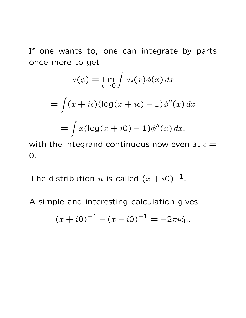If one wants to, one can integrate by parts once more to get

$$
u(\phi) = \lim_{\epsilon \to 0} \int u_{\epsilon}(x)\phi(x) dx
$$
  
= 
$$
\int (x + i\epsilon)(\log(x + i\epsilon) - 1)\phi''(x) dx
$$
  
= 
$$
\int x(\log(x + i0) - 1)\phi''(x) dx,
$$

with the integrand continuous now even at  $\epsilon =$ 0.

The distribution u is called  $(x + i0)^{-1}$ .

A simple and interesting calculation gives

$$
(x+i0)^{-1} - (x-i0)^{-1} = -2\pi i \delta_0.
$$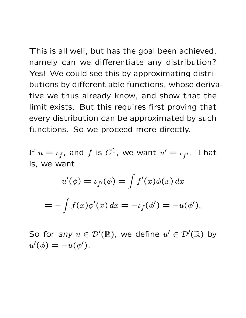This is all well, but has the goal been achieved, namely can we differentiate any distribution? Yes! We could see this by approximating distributions by differentiable functions, whose derivative we thus already know, and show that the limit exists. But this requires first proving that every distribution can be approximated by such functions. So we proceed more directly.

If  $u=\iota_f$ , and  $f$  is  $C^1$ , we want  $u'=\iota_{f'}$ . That is, we want

$$
u'(\phi) = \iota_{f'}(\phi) = \int f'(x)\phi(x) dx
$$
  
= 
$$
- \int f(x)\phi'(x) dx = -\iota_{f}(\phi') = -u(\phi').
$$

So for any  $u \in \mathcal{D}'(\mathbb{R})$ , we define  $u' \in \mathcal{D}'(\mathbb{R})$  by  $u'(\phi) = -u(\phi').$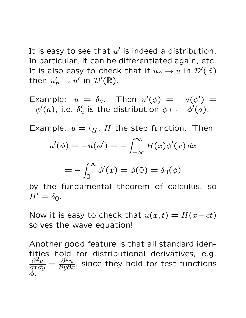It is easy to see that  $u'$  is indeed a distribution. In particular, it can be differentiated again, etc. It is also easy to check that if  $u_n \to u$  in  $\mathcal{D}'(\mathbb{R})$ then  $u'_n \to u'$  in  $\mathcal{D}'(\mathbb{R})$ .

Example:  $u = \delta_a$ . Then  $u'(\phi) = -u(\phi') =$  $-\phi'(a)$ , i.e.  $\delta'_{c}$  $a_a'$  is the distribution  $\phi \mapsto -\phi'(a).$ 

Example:  $u = \iota_H$ , H the step function. Then

$$
u'(\phi) = -u(\phi') = -\int_{-\infty}^{\infty} H(x)\phi'(x) dx
$$

$$
=-\int_0^\infty \phi'(x)=\phi(0)=\delta_0(\phi)
$$

by the fundamental theorem of calculus, so  $H' = \delta_{\Omega}$ .

Now it is easy to check that  $u(x,t) = H(x-ct)$ solves the wave equation!

Another good feature is that all standard identities hold for distributional derivatives, e.g.  $\frac{\partial^2 u}{\partial x^2}$  $\frac{\partial^2 u}{\partial x \partial y} = \frac{\partial^2 u}{\partial y \partial x}$  $\frac{\partial^2 u}{\partial y \partial x}$ , since they hold for test functions φ.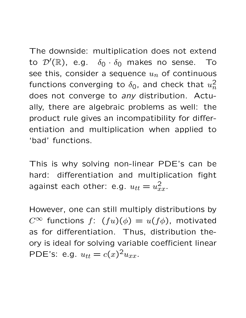The downside: multiplication does not extend to  $\mathcal{D}'(\mathbb{R})$ , e.g.  $\delta_0 \cdot \delta_0$  makes no sense. To see this, consider a sequence  $u_n$  of continuous functions converging to  $\delta_0$ , and check that  $u_n^2$  $\overline{n}$ does not converge to any distribution. Actually, there are algebraic problems as well: the product rule gives an incompatibility for differentiation and multiplication when applied to 'bad' functions.

This is why solving non-linear PDE's can be hard: differentiation and multiplication fight against each other: e.g.  $u_{tt} = u_{xx}^2$ .

However, one can still multiply distributions by  $C^{\infty}$  functions  $f: (fu)(\phi) = u(f\phi)$ , motivated as for differentiation. Thus, distribution theory is ideal for solving variable coefficient linear PDE's: e.g.  $u_{tt} = c(x)^2 u_{xx}$ .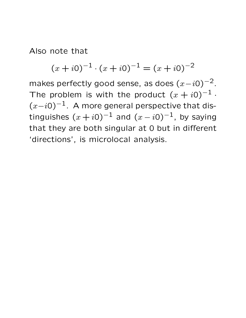Also note that

$$
(x + i0)^{-1} \cdot (x + i0)^{-1} = (x + i0)^{-2}
$$

makes perfectly good sense, as does  $(x-i0)^{-2}$ . The problem is with the product  $(x + i0)^{-1}$ .  $(x-i0)^{-1}$ . A more general perspective that distinguishes  $(x+i0)^{-1}$  and  $(x-i0)^{-1}$ , by saying that they are both singular at 0 but in different 'directions', is microlocal analysis.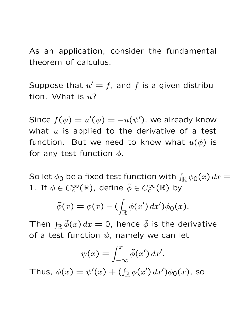As an application, consider the fundamental theorem of calculus.

Suppose that  $u' = f$ , and f is a given distribution. What is  $u$ ?

Since  $f(\psi) = u'(\psi) = -u(\psi')$ , we already know what  $u$  is applied to the derivative of a test function. But we need to know what  $u(\phi)$  is for any test function  $\phi$ .

So let  $\phi_0$  be a fixed test function with  $\int_{\mathbb R} \phi_0(x)\,dx =$ 1. If  $\phi \in C_c^{\infty}(\mathbb{R})$ , define  $\tilde{\phi} \in C_c^{\infty}(\mathbb{R})$  by

$$
\tilde{\phi}(x) = \phi(x) - \left(\int_{\mathbb{R}} \phi(x') dx'\right) \phi_0(x).
$$

Then  $\int_{\mathbb{R}} \tilde{\phi}(x) dx = 0$ , hence  $\tilde{\phi}$  is the derivative of a test function  $\psi$ , namely we can let

$$
\psi(x) = \int_{-\infty}^{x} \tilde{\phi}(x') dx'.
$$

Thus,  $\phi(x) = \psi'(x) + (\int_{\mathbb{R}} \phi(x') dx') \phi_0(x)$ , so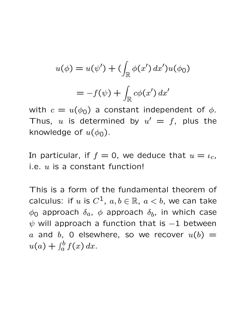$$
u(\phi) = u(\psi') + \left(\int_{\mathbb{R}} \phi(x') dx'\right) u(\phi_0)
$$

$$
= -f(\psi) + \int_{\mathbb{R}} c\phi(x') dx'
$$

with  $c = u(\phi_0)$  a constant independent of  $\phi$ . Thus, u is determined by  $u' = f$ , plus the knowledge of  $u(\phi_0)$ .

In particular, if  $f = 0$ , we deduce that  $u = \iota_c$ , i.e.  $u$  is a constant function!

This is a form of the fundamental theorem of calculus: if  $u$  is  $C^1$ ,  $a,b\in\mathbb{R},\ a < b,$  we can take  $\phi_{\mathsf{O}}$  approach  $\delta_a$ ,  $\phi$  approach  $\delta_b$ , in which case  $\psi$  will approach a function that is  $-1$  between a and b, 0 elsewhere, so we recover  $u(b) =$  $u(a)+\int_a^b$  $\int_a^b f(x) dx$ .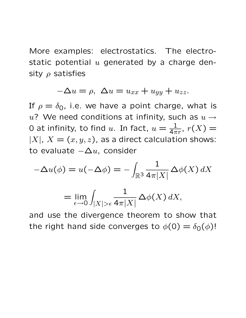More examples: electrostatics. The electrostatic potential  $u$  generated by a charge density  $\rho$  satisfies

$$
-\Delta u = \rho, \ \Delta u = u_{xx} + u_{yy} + u_{zz}.
$$

If  $\rho = \delta_0$ , i.e. we have a point charge, what is u? We need conditions at infinity, such as  $u \rightarrow$ 0 at infinity, to find  $u$ . In fact,  $u=\frac{1}{4\pi r}$ ,  $r(X)$  =  $|X|, X = (x, y, z)$ , as a direct calculation shows: to evaluate  $-\Delta u$ , consider

$$
-\Delta u(\phi) = u(-\Delta \phi) = -\int_{\mathbb{R}^3} \frac{1}{4\pi |X|} \Delta \phi(X) dX
$$

$$
= \lim_{\epsilon \to 0} \int_{|X| > \epsilon} \frac{1}{4\pi |X|} \Delta \phi(X) dX,
$$

and use the divergence theorem to show that the right hand side converges to  $\phi(0) = \delta_0(\phi)$ !